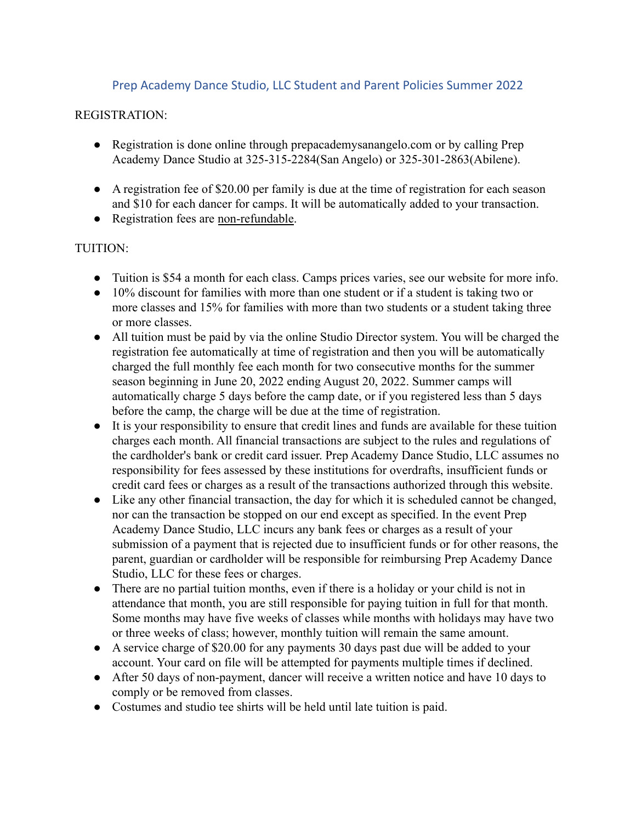## Prep Academy Dance Studio, LLC Student and Parent Policies Summer 2022

#### REGISTRATION:

- Registration is done online through prepacademysanangelo.com or by calling Prep Academy Dance Studio at 325-315-2284(San Angelo) or 325-301-2863(Abilene).
- A registration fee of \$20.00 per family is due at the time of registration for each season and \$10 for each dancer for camps. It will be automatically added to your transaction.
- Registration fees are non-refundable.

## TUITION:

- Tuition is \$54 a month for each class. Camps prices varies, see our website for more info.
- 10% discount for families with more than one student or if a student is taking two or more classes and 15% for families with more than two students or a student taking three or more classes.
- All tuition must be paid by via the online Studio Director system. You will be charged the registration fee automatically at time of registration and then you will be automatically charged the full monthly fee each month for two consecutive months for the summer season beginning in June 20, 2022 ending August 20, 2022. Summer camps will automatically charge 5 days before the camp date, or if you registered less than 5 days before the camp, the charge will be due at the time of registration.
- It is your responsibility to ensure that credit lines and funds are available for these tuition charges each month. All financial transactions are subject to the rules and regulations of the cardholder's bank or credit card issuer. Prep Academy Dance Studio, LLC assumes no responsibility for fees assessed by these institutions for overdrafts, insufficient funds or credit card fees or charges as a result of the transactions authorized through this website.
- Like any other financial transaction, the day for which it is scheduled cannot be changed, nor can the transaction be stopped on our end except as specified. In the event Prep Academy Dance Studio, LLC incurs any bank fees or charges as a result of your submission of a payment that is rejected due to insufficient funds or for other reasons, the parent, guardian or cardholder will be responsible for reimbursing Prep Academy Dance Studio, LLC for these fees or charges.
- There are no partial tuition months, even if there is a holiday or your child is not in attendance that month, you are still responsible for paying tuition in full for that month. Some months may have five weeks of classes while months with holidays may have two or three weeks of class; however, monthly tuition will remain the same amount.
- A service charge of \$20.00 for any payments 30 days past due will be added to your account. Your card on file will be attempted for payments multiple times if declined.
- After 50 days of non-payment, dancer will receive a written notice and have 10 days to comply or be removed from classes.
- Costumes and studio tee shirts will be held until late tuition is paid.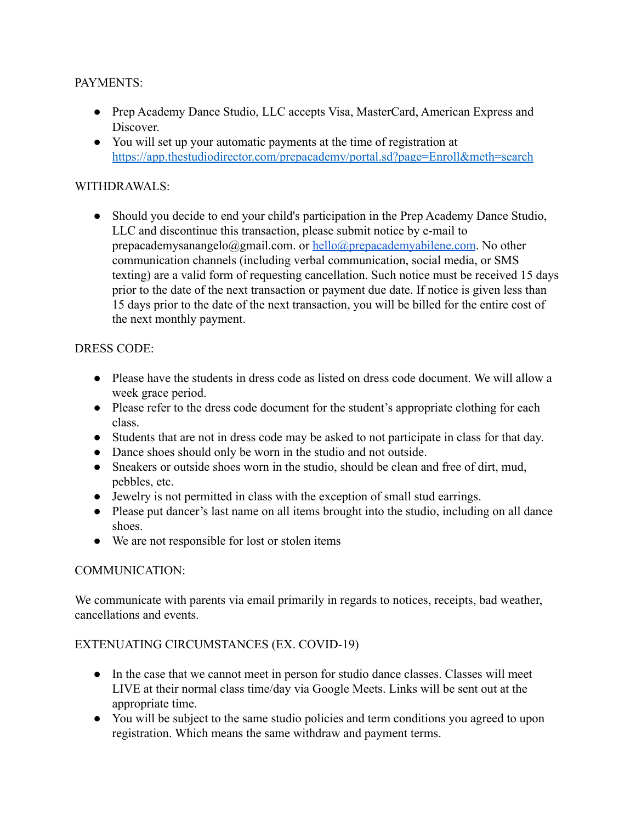### PAYMENTS:

- Prep Academy Dance Studio, LLC accepts Visa, MasterCard, American Express and Discover.
- You will set up your automatic payments at the time of registration at <https://app.thestudiodirector.com/prepacademy/portal.sd?page=Enroll&meth=search>

# WITHDRAWALS:

• Should you decide to end your child's participation in the Prep Academy Dance Studio, LLC and discontinue this transaction, please submit notice by e-mail to prepacademysanangelo@gmail.com. or [hello@prepacademyabilene.com](mailto:hello@prepacademyabilene.com). No other communication channels (including verbal communication, social media, or SMS texting) are a valid form of requesting cancellation. Such notice must be received 15 days prior to the date of the next transaction or payment due date. If notice is given less than 15 days prior to the date of the next transaction, you will be billed for the entire cost of the next monthly payment.

## DRESS CODE:

- Please have the students in dress code as listed on dress code document. We will allow a week grace period.
- Please refer to the dress code document for the student's appropriate clothing for each class.
- Students that are not in dress code may be asked to not participate in class for that day.
- Dance shoes should only be worn in the studio and not outside.
- Sneakers or outside shoes worn in the studio, should be clean and free of dirt, mud, pebbles, etc.
- Jewelry is not permitted in class with the exception of small stud earrings.
- Please put dancer's last name on all items brought into the studio, including on all dance shoes.
- We are not responsible for lost or stolen items

### COMMUNICATION:

We communicate with parents via email primarily in regards to notices, receipts, bad weather, cancellations and events.

### EXTENUATING CIRCUMSTANCES (EX. COVID-19)

- In the case that we cannot meet in person for studio dance classes. Classes will meet LIVE at their normal class time/day via Google Meets. Links will be sent out at the appropriate time.
- You will be subject to the same studio policies and term conditions you agreed to upon registration. Which means the same withdraw and payment terms.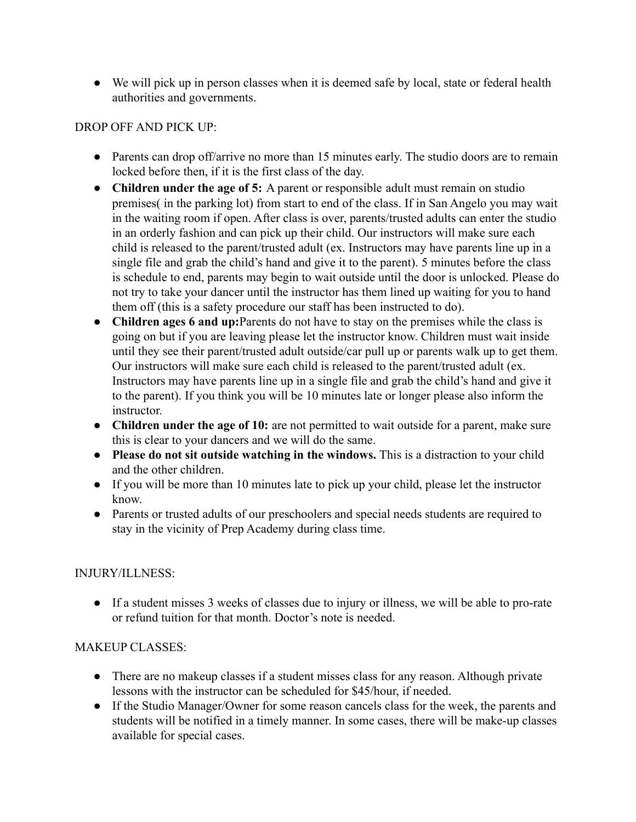• We will pick up in person classes when it is deemed safe by local, state or federal health authorities and governments.

## DROP OFF AND PICK UP:

- Parents can drop off/arrive no more than 15 minutes early. The studio doors are to remain locked before then, if it is the first class of the day.
- **Children under the age of 5:** A parent or responsible adult must remain on studio premises( in the parking lot) from start to end of the class. If in San Angelo you may wait in the waiting room if open. After class is over, parents/trusted adults can enter the studio in an orderly fashion and can pick up their child. Our instructors will make sure each child is released to the parent/trusted adult (ex. Instructors may have parents line up in a single file and grab the child's hand and give it to the parent). 5 minutes before the class is schedule to end, parents may begin to wait outside until the door is unlocked. Please do not try to take your dancer until the instructor has them lined up waiting for you to hand them off (this is a safety procedure our staff has been instructed to do).
- **Children ages 6 and up:**Parents do not have to stay on the premises while the class is going on but if you are leaving please let the instructor know. Children must wait inside until they see their parent/trusted adult outside/car pull up or parents walk up to get them. Our instructors will make sure each child is released to the parent/trusted adult (ex. Instructors may have parents line up in a single file and grab the child's hand and give it to the parent). If you think you will be 10 minutes late or longer please also inform the instructor.
- **Children under the age of 10:** are not permitted to wait outside for a parent, make sure this is clear to your dancers and we will do the same.
- **Please do not sit outside watching in the windows.** This is a distraction to your child and the other children.
- If you will be more than 10 minutes late to pick up your child, please let the instructor know.
- Parents or trusted adults of our preschoolers and special needs students are required to stay in the vicinity of Prep Academy during class time.

### INJURY/ILLNESS:

● If a student misses 3 weeks of classes due to injury or illness, we will be able to pro-rate or refund tuition for that month. Doctor's note is needed.

### MAKEUP CLASSES:

- There are no makeup classes if a student misses class for any reason. Although private lessons with the instructor can be scheduled for \$45/hour, if needed.
- If the Studio Manager/Owner for some reason cancels class for the week, the parents and students will be notified in a timely manner. In some cases, there will be make-up classes available for special cases.